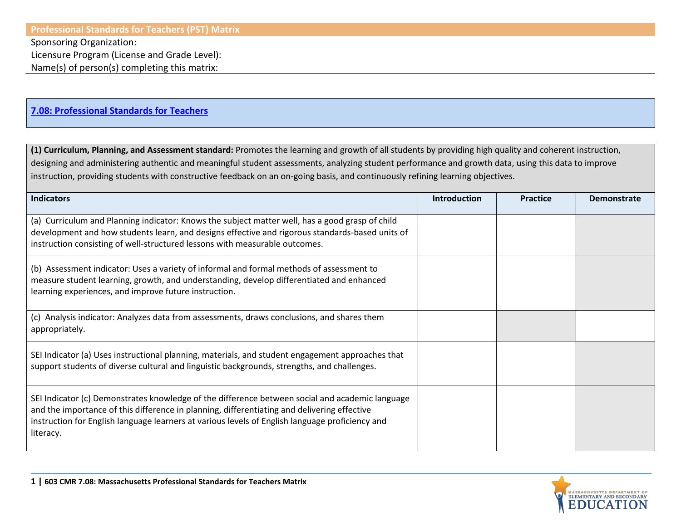Sponsoring Organization:

Name(s) of person(s) completing this matrix:

## **[7.08: Professional Standards for Teachers](http://www.doe.mass.edu/lawsregs/603cmr7.html?section=08)**

**(1) Curriculum, Planning, and Assessment standard:** Promotes the learning and growth of all students by providing high quality and coherent instruction, designing and administering authentic and meaningful student assessments, analyzing student performance and growth data, using this data to improve instruction, providing students with constructive feedback on an on-going basis, and continuously refining learning objectives.

| <b>Indicators</b>                                                                                                                                                                                                                                                                                              | <b>Introduction</b> | <b>Practice</b> | <b>Demonstrate</b> |
|----------------------------------------------------------------------------------------------------------------------------------------------------------------------------------------------------------------------------------------------------------------------------------------------------------------|---------------------|-----------------|--------------------|
| (a) Curriculum and Planning indicator: Knows the subject matter well, has a good grasp of child<br>development and how students learn, and designs effective and rigorous standards-based units of<br>instruction consisting of well-structured lessons with measurable outcomes.                              |                     |                 |                    |
| (b) Assessment indicator: Uses a variety of informal and formal methods of assessment to<br>measure student learning, growth, and understanding, develop differentiated and enhanced<br>learning experiences, and improve future instruction.                                                                  |                     |                 |                    |
| (c) Analysis indicator: Analyzes data from assessments, draws conclusions, and shares them<br>appropriately.                                                                                                                                                                                                   |                     |                 |                    |
| SEI Indicator (a) Uses instructional planning, materials, and student engagement approaches that<br>support students of diverse cultural and linguistic backgrounds, strengths, and challenges.                                                                                                                |                     |                 |                    |
| SEI Indicator (c) Demonstrates knowledge of the difference between social and academic language<br>and the importance of this difference in planning, differentiating and delivering effective<br>instruction for English language learners at various levels of English language proficiency and<br>literacy. |                     |                 |                    |

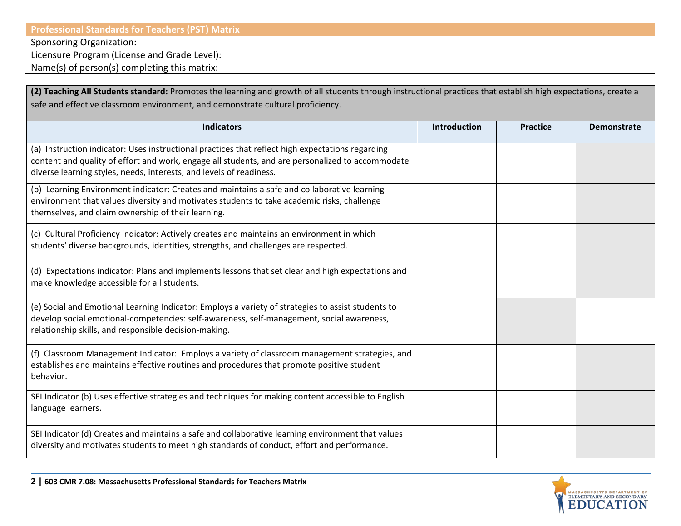## **Professional Standards for Teachers (PST) Matrix**

Sponsoring Organization:

Licensure Program (License and Grade Level):

Name(s) of person(s) completing this matrix:

| (2) Teaching All Students standard: Promotes the learning and growth of all students through instructional practices that establish high expectations, create a                                                                                                             |                     |                 |                    |
|-----------------------------------------------------------------------------------------------------------------------------------------------------------------------------------------------------------------------------------------------------------------------------|---------------------|-----------------|--------------------|
| safe and effective classroom environment, and demonstrate cultural proficiency.                                                                                                                                                                                             |                     |                 |                    |
| <b>Indicators</b>                                                                                                                                                                                                                                                           | <b>Introduction</b> | <b>Practice</b> | <b>Demonstrate</b> |
| (a) Instruction indicator: Uses instructional practices that reflect high expectations regarding<br>content and quality of effort and work, engage all students, and are personalized to accommodate<br>diverse learning styles, needs, interests, and levels of readiness. |                     |                 |                    |
| (b) Learning Environment indicator: Creates and maintains a safe and collaborative learning<br>environment that values diversity and motivates students to take academic risks, challenge<br>themselves, and claim ownership of their learning.                             |                     |                 |                    |
| (c) Cultural Proficiency indicator: Actively creates and maintains an environment in which<br>students' diverse backgrounds, identities, strengths, and challenges are respected.                                                                                           |                     |                 |                    |
| (d) Expectations indicator: Plans and implements lessons that set clear and high expectations and<br>make knowledge accessible for all students.                                                                                                                            |                     |                 |                    |
| (e) Social and Emotional Learning Indicator: Employs a variety of strategies to assist students to<br>develop social emotional-competencies: self-awareness, self-management, social awareness,<br>relationship skills, and responsible decision-making.                    |                     |                 |                    |
| (f) Classroom Management Indicator: Employs a variety of classroom management strategies, and<br>establishes and maintains effective routines and procedures that promote positive student<br>behavior.                                                                     |                     |                 |                    |
| SEI Indicator (b) Uses effective strategies and techniques for making content accessible to English<br>language learners.                                                                                                                                                   |                     |                 |                    |
| SEI Indicator (d) Creates and maintains a safe and collaborative learning environment that values<br>diversity and motivates students to meet high standards of conduct, effort and performance.                                                                            |                     |                 |                    |



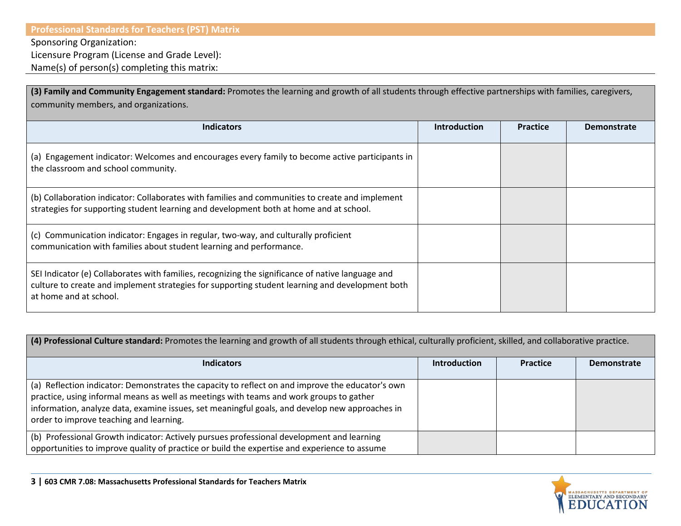Sponsoring Organization:

Licensure Program (License and Grade Level):

Name(s) of person(s) completing this matrix:

| (3) Family and Community Engagement standard: Promotes the learning and growth of all students through effective partnerships with families, caregivers,<br>community members, and organizations.                              |                     |                 |                    |
|--------------------------------------------------------------------------------------------------------------------------------------------------------------------------------------------------------------------------------|---------------------|-----------------|--------------------|
| <b>Indicators</b>                                                                                                                                                                                                              | <b>Introduction</b> | <b>Practice</b> | <b>Demonstrate</b> |
| (a) Engagement indicator: Welcomes and encourages every family to become active participants in<br>the classroom and school community.                                                                                         |                     |                 |                    |
| (b) Collaboration indicator: Collaborates with families and communities to create and implement<br>strategies for supporting student learning and development both at home and at school.                                      |                     |                 |                    |
| (c) Communication indicator: Engages in regular, two-way, and culturally proficient<br>communication with families about student learning and performance.                                                                     |                     |                 |                    |
| SEI Indicator (e) Collaborates with families, recognizing the significance of native language and<br>culture to create and implement strategies for supporting student learning and development both<br>at home and at school. |                     |                 |                    |

| (4) Professional Culture standard: Promotes the learning and growth of all students through ethical, culturally proficient, skilled, and collaborative practice.                                                                                                                                                                         |                     |                 |                    |
|------------------------------------------------------------------------------------------------------------------------------------------------------------------------------------------------------------------------------------------------------------------------------------------------------------------------------------------|---------------------|-----------------|--------------------|
| <b>Indicators</b>                                                                                                                                                                                                                                                                                                                        | <b>Introduction</b> | <b>Practice</b> | <b>Demonstrate</b> |
| (a) Reflection indicator: Demonstrates the capacity to reflect on and improve the educator's own<br>practice, using informal means as well as meetings with teams and work groups to gather<br>information, analyze data, examine issues, set meaningful goals, and develop new approaches in<br>order to improve teaching and learning. |                     |                 |                    |
| (b) Professional Growth indicator: Actively pursues professional development and learning<br>opportunities to improve quality of practice or build the expertise and experience to assume                                                                                                                                                |                     |                 |                    |